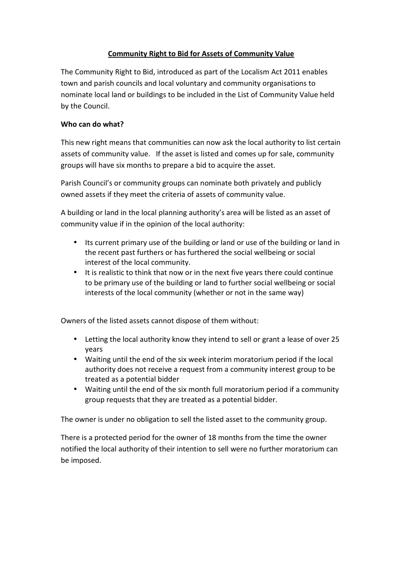# Community Right to Bid for Assets of Community Value

The Community Right to Bid, introduced as part of the Localism Act 2011 enables town and parish councils and local voluntary and community organisations to nominate local land or buildings to be included in the List of Community Value held by the Council.

# Who can do what?

This new right means that communities can now ask the local authority to list certain assets of community value. If the asset is listed and comes up for sale, community groups will have six months to prepare a bid to acquire the asset.

Parish Council's or community groups can nominate both privately and publicly owned assets if they meet the criteria of assets of community value.

A building or land in the local planning authority's area will be listed as an asset of community value if in the opinion of the local authority:

- Its current primary use of the building or land or use of the building or land in the recent past furthers or has furthered the social wellbeing or social interest of the local community.
- It is realistic to think that now or in the next five years there could continue to be primary use of the building or land to further social wellbeing or social interests of the local community (whether or not in the same way)

Owners of the listed assets cannot dispose of them without:

- Letting the local authority know they intend to sell or grant a lease of over 25 years
- Waiting until the end of the six week interim moratorium period if the local authority does not receive a request from a community interest group to be treated as a potential bidder
- Waiting until the end of the six month full moratorium period if a community group requests that they are treated as a potential bidder.

The owner is under no obligation to sell the listed asset to the community group.

There is a protected period for the owner of 18 months from the time the owner notified the local authority of their intention to sell were no further moratorium can be imposed.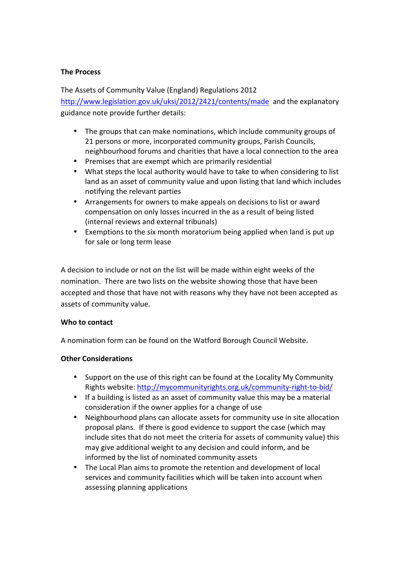### The Process

The Assets of Community Value (England) Regulations 2012 http://www.legislation.gov.uk/uksi/2012/2421/contents/made and the explanatory guidance note provide further details:

- The groups that can make nominations, which include community groups of 21 persons or more, incorporated community groups, Parish Councils, neighbourhood forums and charities that have a local connection to the area
- Premises that are exempt which are primarily residential
- What steps the local authority would have to take to when considering to list land as an asset of community value and upon listing that land which includes notifying the relevant parties
- Arrangements for owners to make appeals on decisions to list or award compensation on only losses incurred in the as a result of being listed (internal reviews and external tribunals)
- Exemptions to the six month moratorium being applied when land is put up for sale or long term lease

A decision to include or not on the list will be made within eight weeks of the nomination. There are two lists on the website showing those that have been accepted and those that have not with reasons why they have not been accepted as assets of community value.

#### Who to contact

A nomination form can be found on the Watford Borough Council Website.

# Other Considerations

- Support on the use of this right can be found at the Locality My Community Rights website: http://mycommunityrights.org.uk/community-right-to-bid/
- If a building is listed as an asset of community value this may be a material consideration if the owner applies for a change of use
- Neighbourhood plans can allocate assets for community use in site allocation proposal plans. If there is good evidence to support the case (which may include sites that do not meet the criteria for assets of community value) this may give additional weight to any decision and could inform, and be informed by the list of nominated community assets
- The Local Plan aims to promote the retention and development of local services and community facilities which will be taken into account when assessing planning applications